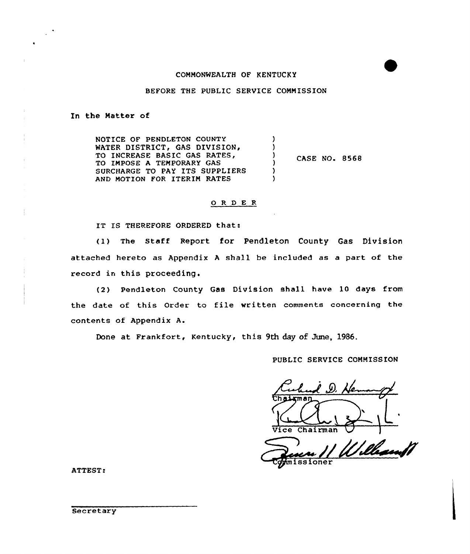## COMMONWEALTH OF KENTUCKY

### BEFORE THE PUBLIC SERVICE COMMISSION

### In the Matter of

J.

NOTICE OF PENDLETON COUNTY ) WATER DISTRICT, GAS DIVISION, ) TO INCREASE BASIC GAS RATES, 1 CASE NO. 8568 TO IMPOSE A TEMPORARY GAS <sup>1</sup> SURCHARGE TO PAY ITS SUPPLIERS ) AND MOTION FOR ITERIM RATES )

#### 0 <sup>R</sup> <sup>D</sup> E <sup>R</sup>

IT IS THEREFORE ORDERED that:

(I) The Staff Report for Pendleton County Gas Division attached hereto as Appendix <sup>A</sup> shall be included as a part of the record in this proceeding.

(2) Pendleton County Gas Division shall have 10 days from the date of this Order to file written comments concerning the contents of Appendix A.

Done at Frankfort, Kentucky, this 9th day of June, 1986.

# PUBLIC SERVICE COMMISSION

Culund D. He

Vice Chairman V +missioner

ATTEST: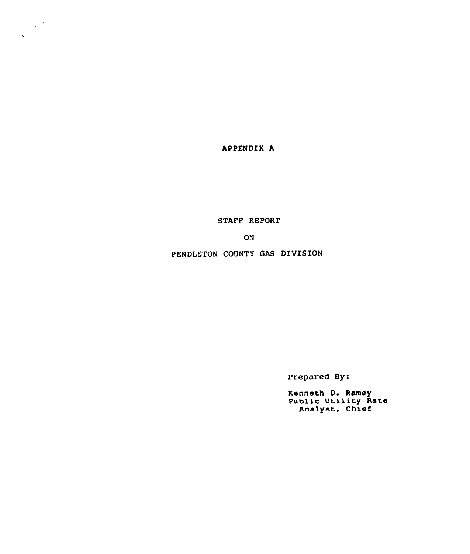APPENDIX h

 $\frac{1}{2} \sum_{i=1}^{n} \frac{1}{i} \sum_{j=1}^{n} \frac{1}{j} \sum_{j=1}^{n} \frac{1}{j} \sum_{j=1}^{n} \frac{1}{j} \sum_{j=1}^{n} \frac{1}{j} \sum_{j=1}^{n} \frac{1}{j} \sum_{j=1}^{n} \frac{1}{j} \sum_{j=1}^{n} \frac{1}{j} \sum_{j=1}^{n} \frac{1}{j} \sum_{j=1}^{n} \frac{1}{j} \sum_{j=1}^{n} \frac{1}{j} \sum_{j=1}^{n} \frac{1}{j} \sum_{j=1}^{n$ 

 $\ddot{\phantom{0}}$ 

STAFF REPORT

ON

PENDLETON COUNTY GAS DIVISION

Prepared By:

Kenneth D. Ramey Public Utility Rate Analyst, Chief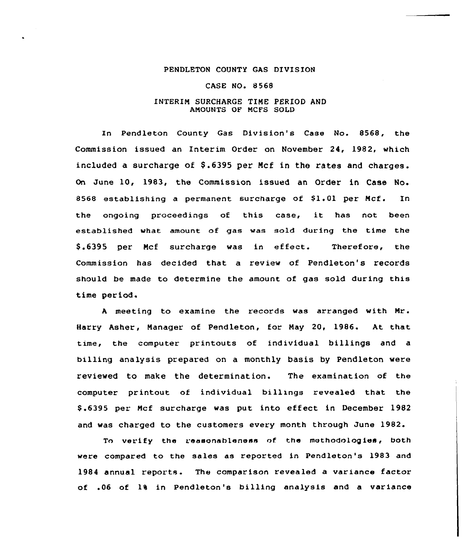#### PENDLETON COUNTY GAS DIVISION

#### CASE NO. 8568

### INTERIN SURCHARGE TINE PERIOD AND AMOUNTS OF MCFS SOLD

In Pendleton County Gas Division's Case No. 8568, the Commission issued an Interim Order on November 24, 1982, which included a surcharge of \$.6395 per Mcf in the rates and charges. On June 10, 1983, the Commission issued an Order in Case No. 8568 establishing a permanent surcharge of  $$1.01$  per Mcf. In the ongoing proceedings of this case, it has not been established what amount of gas was sold during the time the \$ .6395 per Mcf surcharge was in effect. Therefore, the Commission has decided that a review of Pendleton's records should be made to determine the amount of gas sold during this time period.

<sup>A</sup> meeting to examine the records was arranged with Nr. Harry Asher, Nanager of Pendleton, for Nay 20, 1986. At that time, the computer printouts of individual billings and a billing analysis prepared on a monthly basis by Pendleton were reviewed to make the determination. The examination of the computer printout of individual billrngs revealed that the \$ .6395 per Ncf surcharge was put into effect in December 1982 and was charged to the customers every month through June 1982.

To verify the reasonableness of the methodologies, both were compared to the sales as reported in Pendleton's 1983 and 1984 annual reports. The comparison revealed a variance factor of .06 of 1% in Pendleton's billing analysis and a variance